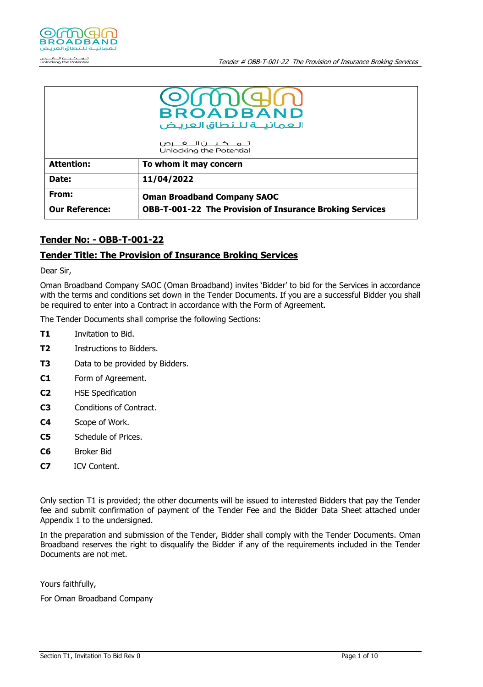

|                       | OMOM<br><b>BROADBAND</b><br>العمانيــة للـنطاق العريض<br>تــمـــكـيــــن۱لــــفــــرص<br>Unlocking the Potential |
|-----------------------|------------------------------------------------------------------------------------------------------------------|
| <b>Attention:</b>     | To whom it may concern                                                                                           |
| Date:                 | 11/04/2022                                                                                                       |
| From:                 | <b>Oman Broadband Company SAOC</b>                                                                               |
| <b>Our Reference:</b> | <b>OBB-T-001-22 The Provision of Insurance Broking Services</b>                                                  |

# **Tender No: - OBB-T-001-22**

## **Tender Title: The Provision of Insurance Broking Services**

Dear Sir,

Oman Broadband Company SAOC (Oman Broadband) invites 'Bidder' to bid for the Services in accordance with the terms and conditions set down in the Tender Documents. If you are a successful Bidder you shall be required to enter into a Contract in accordance with the Form of Agreement.

The Tender Documents shall comprise the following Sections:

- **T1** Invitation to Bid.
- **T2** Instructions to Bidders.
- **T3** Data to be provided by Bidders.
- **C1** Form of Agreement.
- **C2** HSE Specification
- **C3** Conditions of Contract.
- **C4** Scope of Work.
- **C5** Schedule of Prices.
- **C6** Broker Bid
- **C7** ICV Content.

Only section T1 is provided; the other documents will be issued to interested Bidders that pay the Tender fee and submit confirmation of payment of the Tender Fee and the Bidder Data Sheet attached under Appendix 1 to the undersigned.

In the preparation and submission of the Tender, Bidder shall comply with the Tender Documents. Oman Broadband reserves the right to disqualify the Bidder if any of the requirements included in the Tender Documents are not met.

Yours faithfully,

For Oman Broadband Company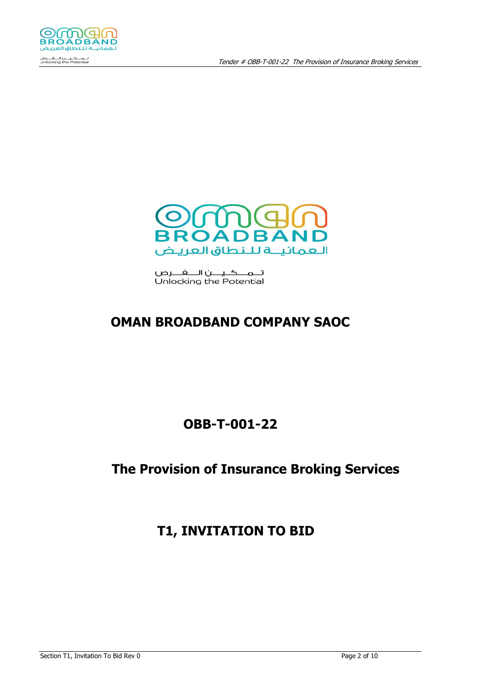

تــمـــكــيــــن۱لــــفـــــرص Unlocking the Potential

# **OMAN BROADBAND COMPANY SAOC**

# **OBB-T-001-22**

# **The Provision of Insurance Broking Services**

**T1, INVITATION TO BID**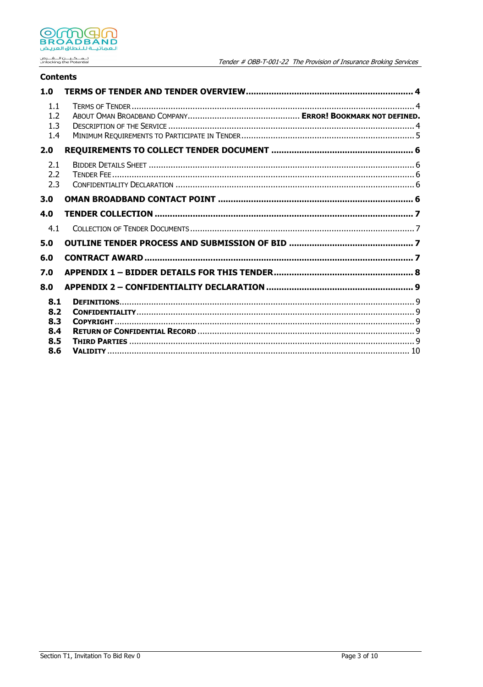

تـــمـــكــيــــن الــــفـــرص<br>Unlocking the Potential

## **Contents**

| 1.0                      |  |
|--------------------------|--|
| 1.1<br>1.2<br>1.3<br>1.4 |  |
| 2.0                      |  |
| 2.1<br>2.2<br>2.3        |  |
| 3.0                      |  |
| 4.0                      |  |
| 4.1                      |  |
| 5.0                      |  |
| 6.0                      |  |
| 7.0                      |  |
| 8.0                      |  |
| 8.1<br>8.2               |  |
| 8.3<br>8.4               |  |
| 8.5<br>8.6               |  |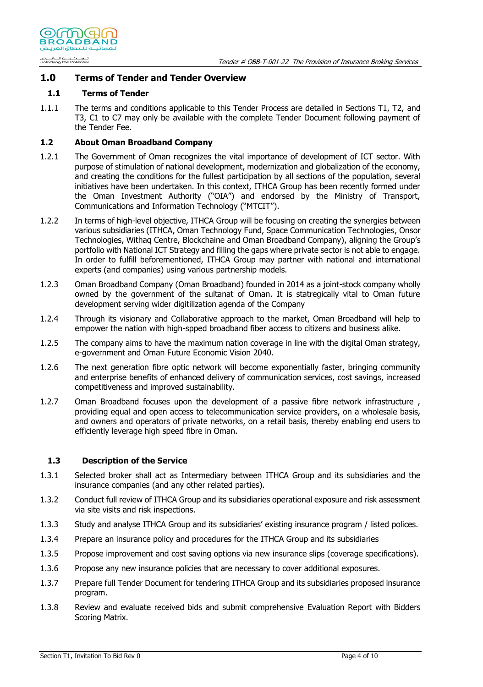

### **1.0 Terms of Tender and Tender Overview**

#### **1.1 Terms of Tender**

1.1.1 The terms and conditions applicable to this Tender Process are detailed in Sections T1, T2, and T3, C1 to C7 may only be available with the complete Tender Document following payment of the Tender Fee.

#### **1.2 About Oman Broadband Company**

- 1.2.1 The Government of Oman recognizes the vital importance of development of ICT sector. With purpose of stimulation of national development, modernization and globalization of the economy, and creating the conditions for the fullest participation by all sections of the population, several initiatives have been undertaken. In this context, ITHCA Group has been recently formed under the Oman Investment Authority ("OIA") and endorsed by the Ministry of Transport, Communications and Information Technology ("MTCIT").
- 1.2.2 In terms of high-level objective, ITHCA Group will be focusing on creating the synergies between various subsidiaries (ITHCA, Oman Technology Fund, Space Communication Technologies, Onsor Technologies, Withaq Centre, Blockchaine and Oman Broadband Company), aligning the Group's portfolio with National ICT Strategy and filling the gaps where private sector is not able to engage. In order to fulfill beforementioned, ITHCA Group may partner with national and international experts (and companies) using various partnership models.
- 1.2.3 Oman Broadband Company (Oman Broadband) founded in 2014 as a joint-stock company wholly owned by the government of the sultanat of Oman. It is statregically vital to Oman future development serving wider digitilization agenda of the Company
- 1.2.4 Through its visionary and Collaborative approach to the market, Oman Broadband will help to empower the nation with high-spped broadband fiber access to citizens and business alike.
- 1.2.5 The company aims to have the maximum nation coverage in line with the digital Oman strategy, e-government and Oman Future Economic Vision 2040.
- 1.2.6 The next generation fibre optic network will become exponentially faster, bringing community and enterprise benefits of enhanced delivery of communication services, cost savings, increased competitiveness and improved sustainability.
- 1.2.7 Oman Broadband focuses upon the development of a passive fibre network infrastructure, providing equal and open access to telecommunication service providers, on a wholesale basis, and owners and operators of private networks, on a retail basis, thereby enabling end users to efficiently leverage high speed fibre in Oman.

#### **1.3 Description of the Service**

- 1.3.1 Selected broker shall act as Intermediary between ITHCA Group and its subsidiaries and the insurance companies (and any other related parties).
- 1.3.2 Conduct full review of ITHCA Group and its subsidiaries operational exposure and risk assessment via site visits and risk inspections.
- 1.3.3 Study and analyse ITHCA Group and its subsidiaries' existing insurance program / listed polices.
- 1.3.4 Prepare an insurance policy and procedures for the ITHCA Group and its subsidiaries
- 1.3.5 Propose improvement and cost saving options via new insurance slips (coverage specifications).
- 1.3.6 Propose any new insurance policies that are necessary to cover additional exposures.
- 1.3.7 Prepare full Tender Document for tendering ITHCA Group and its subsidiaries proposed insurance program.
- 1.3.8 Review and evaluate received bids and submit comprehensive Evaluation Report with Bidders Scoring Matrix.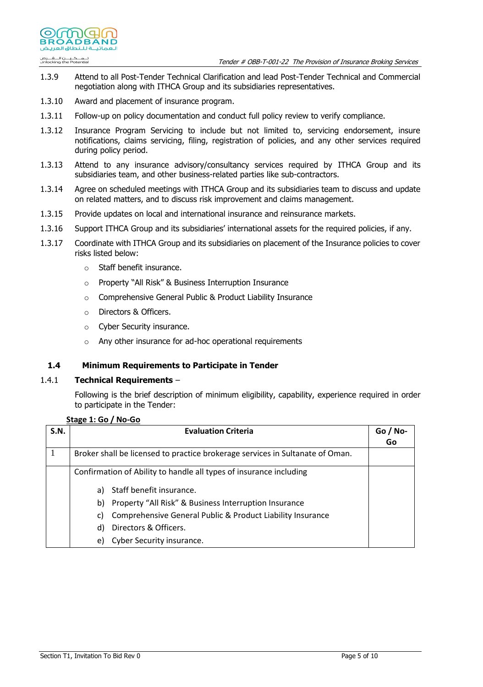

- 1.3.9 Attend to all Post-Tender Technical Clarification and lead Post-Tender Technical and Commercial negotiation along with ITHCA Group and its subsidiaries representatives.
- 1.3.10 Award and placement of insurance program.

@WWG10 **BROADBAND** فمائيلة للنطاق العرب

تـــمــــكــيــــن الــــفــــرص<br>Unlocking the Potential

- 1.3.11 Follow-up on policy documentation and conduct full policy review to verify compliance.
- 1.3.12 Insurance Program Servicing to include but not limited to, servicing endorsement, insure notifications, claims servicing, filing, registration of policies, and any other services required during policy period.
- 1.3.13 Attend to any insurance advisory/consultancy services required by ITHCA Group and its subsidiaries team, and other business-related parties like sub-contractors.
- 1.3.14 Agree on scheduled meetings with ITHCA Group and its subsidiaries team to discuss and update on related matters, and to discuss risk improvement and claims management.
- 1.3.15 Provide updates on local and international insurance and reinsurance markets.
- 1.3.16 Support ITHCA Group and its subsidiaries' international assets for the required policies, if any.
- 1.3.17 Coordinate with ITHCA Group and its subsidiaries on placement of the Insurance policies to cover risks listed below:
	- o Staff benefit insurance.
	- o Property "All Risk" & Business Interruption Insurance
	- o Comprehensive General Public & Product Liability Insurance
	- o Directors & Officers.
	- o Cyber Security insurance.
	- o Any other insurance for ad-hoc operational requirements

### **1.4 Minimum Requirements to Participate in Tender**

#### 1.4.1 **Technical Requirements** –

Following is the brief description of minimum eligibility, capability, experience required in order to participate in the Tender:

#### **Stage 1: Go / No-Go**

| S.N. | <b>Evaluation Criteria</b>                                                    | $Go / No-$<br>Go |
|------|-------------------------------------------------------------------------------|------------------|
|      | Broker shall be licensed to practice brokerage services in Sultanate of Oman. |                  |
|      | Confirmation of Ability to handle all types of insurance including            |                  |
|      | Staff benefit insurance.<br>a)                                                |                  |
|      | Property "All Risk" & Business Interruption Insurance<br>b)                   |                  |
|      | Comprehensive General Public & Product Liability Insurance<br>C)              |                  |
|      | Directors & Officers.<br>d)                                                   |                  |
|      | Cyber Security insurance.<br>e)                                               |                  |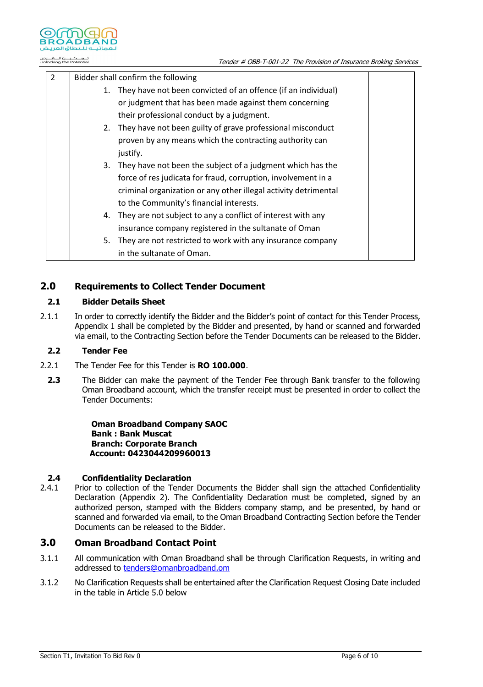

تــــمــــكــيــــن الــــفــــرص<br>Unlocking the Potential

| 2 | Bidder shall confirm the following |                                                                  |
|---|------------------------------------|------------------------------------------------------------------|
|   |                                    | 1. They have not been convicted of an offence (if an individual) |
|   |                                    | or judgment that has been made against them concerning           |
|   |                                    | their professional conduct by a judgment.                        |
|   |                                    | 2. They have not been guilty of grave professional misconduct    |
|   |                                    | proven by any means which the contracting authority can          |
|   |                                    | justify.                                                         |
|   |                                    | 3. They have not been the subject of a judgment which has the    |
|   |                                    | force of res judicata for fraud, corruption, involvement in a    |
|   |                                    | criminal organization or any other illegal activity detrimental  |
|   |                                    | to the Community's financial interests.                          |
|   |                                    | 4. They are not subject to any a conflict of interest with any   |
|   |                                    | insurance company registered in the sultanate of Oman            |
|   | 5.                                 | They are not restricted to work with any insurance company       |
|   |                                    | in the sultanate of Oman.                                        |

## **2.0 Requirements to Collect Tender Document**

#### **2.1 Bidder Details Sheet**

2.1.1 In order to correctly identify the Bidder and the Bidder's point of contact for this Tender Process, Appendix 1 shall be completed by the Bidder and presented, by hand or scanned and forwarded via email, to the Contracting Section before the Tender Documents can be released to the Bidder.

#### **2.2 Tender Fee**

- 2.2.1 The Tender Fee for this Tender is **RO 100.000**.
- **2.3** The Bidder can make the payment of the Tender Fee through Bank transfer to the following Oman Broadband account, which the transfer receipt must be presented in order to collect the Tender Documents:

**Oman Broadband Company SAOC Bank : Bank Muscat Branch: Corporate Branch Account: 0423044209960013**

### <span id="page-5-0"></span>**2.4 Confidentiality Declaration**

2.4.1 Prior to collection of the Tender Documents the Bidder shall sign the attached Confidentiality Declaration (Appendix 2). The Confidentiality Declaration must be completed, signed by an authorized person, stamped with the Bidders company stamp, and be presented, by hand or scanned and forwarded via email, to the Oman Broadband Contracting Section before the Tender Documents can be released to the Bidder.

# **3.0 Oman Broadband Contact Point**

- 3.1.1 All communication with Oman Broadband shall be through Clarification Requests, in writing and addressed to [tenders@omanbroadband.om](mailto:tenders@omanbroadband.om)
- 3.1.2 No Clarification Requests shall be entertained after the Clarification Request Closing Date included in the table in Article [5.0 below](#page-6-0)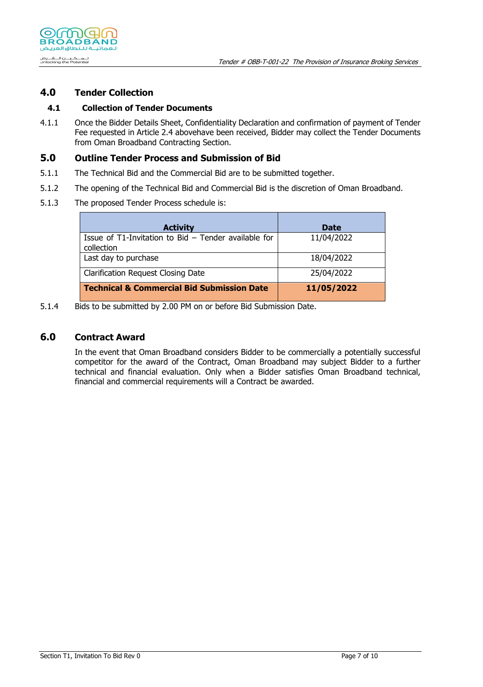

# **4.0 Tender Collection**

## **4.1 Collection of Tender Documents**

4.1.1 Once the Bidder Details Sheet, Confidentiality Declaration and confirmation of payment of Tender Fee requested in Article [2.4 aboveh](#page-5-0)ave been received, Bidder may collect the Tender Documents from Oman Broadband Contracting Section.

## <span id="page-6-0"></span>**5.0 Outline Tender Process and Submission of Bid**

- 5.1.1 The Technical Bid and the Commercial Bid are to be submitted together.
- 5.1.2 The opening of the Technical Bid and Commercial Bid is the discretion of Oman Broadband.
- 5.1.3 The proposed Tender Process schedule is:

| <b>Activity</b>                                                         | <b>Date</b> |
|-------------------------------------------------------------------------|-------------|
| Issue of $T1$ -Invitation to Bid $-$ Tender available for<br>collection | 11/04/2022  |
| Last day to purchase                                                    | 18/04/2022  |
| <b>Clarification Request Closing Date</b>                               | 25/04/2022  |
| <b>Technical &amp; Commercial Bid Submission Date</b>                   | 11/05/2022  |

5.1.4 Bids to be submitted by 2.00 PM on or before Bid Submission Date.

## **6.0 Contract Award**

In the event that Oman Broadband considers Bidder to be commercially a potentially successful competitor for the award of the Contract, Oman Broadband may subject Bidder to a further technical and financial evaluation. Only when a Bidder satisfies Oman Broadband technical, financial and commercial requirements will a Contract be awarded.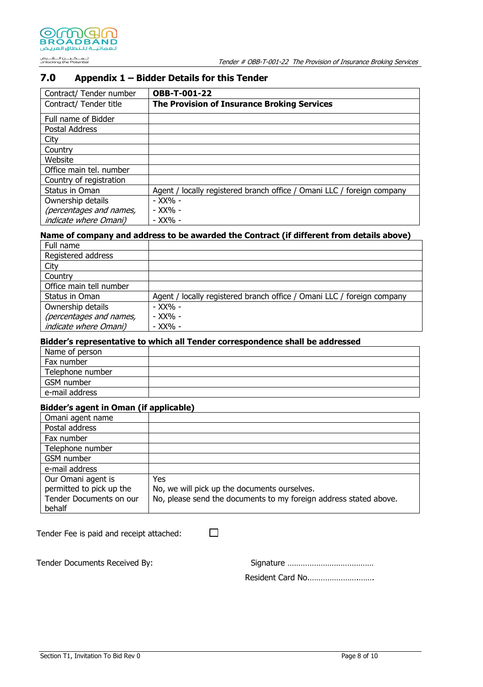# **7.0 Appendix 1 – Bidder Details for this Tender**

| Contract/ Tender number      | <b>OBB-T-001-22</b>                                                    |
|------------------------------|------------------------------------------------------------------------|
| Contract/ Tender title       | <b>The Provision of Insurance Broking Services</b>                     |
| Full name of Bidder          |                                                                        |
| Postal Address               |                                                                        |
| City                         |                                                                        |
| Country                      |                                                                        |
| Website                      |                                                                        |
| Office main tel. number      |                                                                        |
| Country of registration      |                                                                        |
| Status in Oman               | Agent / locally registered branch office / Omani LLC / foreign company |
| Ownership details            | - XX% -                                                                |
| (percentages and names,      | - XX% -                                                                |
| <i>indicate where Omani)</i> | - XX% -                                                                |

# **Name of company and address to be awarded the Contract (if different from details above)**

| Full name                     |                                                                        |
|-------------------------------|------------------------------------------------------------------------|
| Registered address            |                                                                        |
| City                          |                                                                        |
| Country                       |                                                                        |
| Office main tell number       |                                                                        |
| Status in Oman                | Agent / locally registered branch office / Omani LLC / foreign company |
| Ownership details             | - XX% -                                                                |
| (percentages and names,       | - XX% -                                                                |
| <i>indicate where Omani</i> ) | - XX% -                                                                |

### **Bidder's representative to which all Tender correspondence shall be addressed**

| Name of person   |  |
|------------------|--|
| Fax number       |  |
| Telephone number |  |
| GSM number       |  |
| e-mail address   |  |

#### **Bidder's agent in Oman (if applicable)**

| Omani agent name         |                                                                   |
|--------------------------|-------------------------------------------------------------------|
| Postal address           |                                                                   |
| Fax number               |                                                                   |
| Telephone number         |                                                                   |
| GSM number               |                                                                   |
| e-mail address           |                                                                   |
| Our Omani agent is       | Yes.                                                              |
| permitted to pick up the | No, we will pick up the documents ourselves.                      |
| Tender Documents on our  | No, please send the documents to my foreign address stated above. |
| behalf                   |                                                                   |

Tender Fee is paid and receipt attached:

 $\Box$ 

Tender Documents Received By:

| Resident Card No |
|------------------|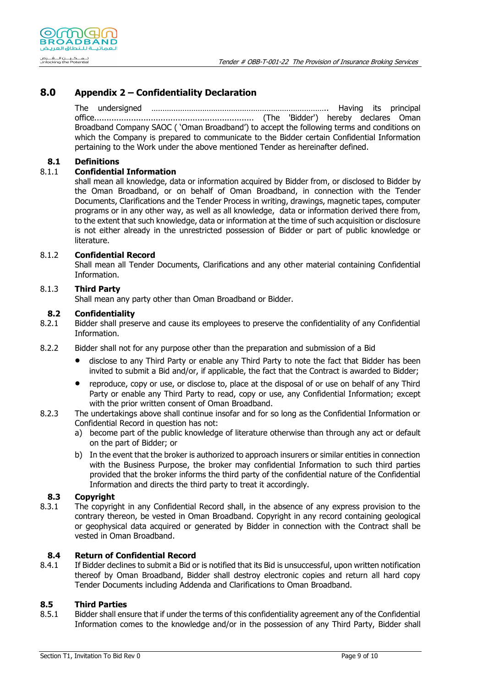

# **8.0 Appendix 2 – Confidentiality Declaration**

The undersigned …………………………………………………………………….. Having its principal office................................................................. (The 'Bidder') hereby declares Oman Broadband Company SAOC ( 'Oman Broadband') to accept the following terms and conditions on which the Company is prepared to communicate to the Bidder certain Confidential Information pertaining to the Work under the above mentioned Tender as hereinafter defined.

## **8.1 Definitions**

## 8.1.1 **Confidential Information**

shall mean all knowledge, data or information acquired by Bidder from, or disclosed to Bidder by the Oman Broadband, or on behalf of Oman Broadband, in connection with the Tender Documents, Clarifications and the Tender Process in writing, drawings, magnetic tapes, computer programs or in any other way, as well as all knowledge, data or information derived there from, to the extent that such knowledge, data or information at the time of such acquisition or disclosure is not either already in the unrestricted possession of Bidder or part of public knowledge or literature.

### 8.1.2 **Confidential Record**

Shall mean all Tender Documents, Clarifications and any other material containing Confidential Information.

### 8.1.3 **Third Party**

Shall mean any party other than Oman Broadband or Bidder.

#### **8.2 Confidentiality**

8.2.1 Bidder shall preserve and cause its employees to preserve the confidentiality of any Confidential Information.

- 8.2.2 Bidder shall not for any purpose other than the preparation and submission of a Bid
	- disclose to any Third Party or enable any Third Party to note the fact that Bidder has been invited to submit a Bid and/or, if applicable, the fact that the Contract is awarded to Bidder;
	- reproduce, copy or use, or disclose to, place at the disposal of or use on behalf of any Third Party or enable any Third Party to read, copy or use, any Confidential Information; except with the prior written consent of Oman Broadband.
- 8.2.3 The undertakings above shall continue insofar and for so long as the Confidential Information or Confidential Record in question has not:
	- a) become part of the public knowledge of literature otherwise than through any act or default on the part of Bidder; or
	- b) In the event that the broker is authorized to approach insurers or similar entities in connection with the Business Purpose, the broker may confidential Information to such third parties provided that the broker informs the third party of the confidential nature of the Confidential Information and directs the third party to treat it accordingly.

### **8.3 Copyright**

8.3.1 The copyright in any Confidential Record shall, in the absence of any express provision to the contrary thereon, be vested in Oman Broadband. Copyright in any record containing geological or geophysical data acquired or generated by Bidder in connection with the Contract shall be vested in Oman Broadband.

### **8.4 Return of Confidential Record**

8.4.1 If Bidder declines to submit a Bid or is notified that its Bid is unsuccessful, upon written notification thereof by Oman Broadband, Bidder shall destroy electronic copies and return all hard copy Tender Documents including Addenda and Clarifications to Oman Broadband.

### **8.5 Third Parties**

8.5.1 Bidder shall ensure that if under the terms of this confidentiality agreement any of the Confidential Information comes to the knowledge and/or in the possession of any Third Party, Bidder shall